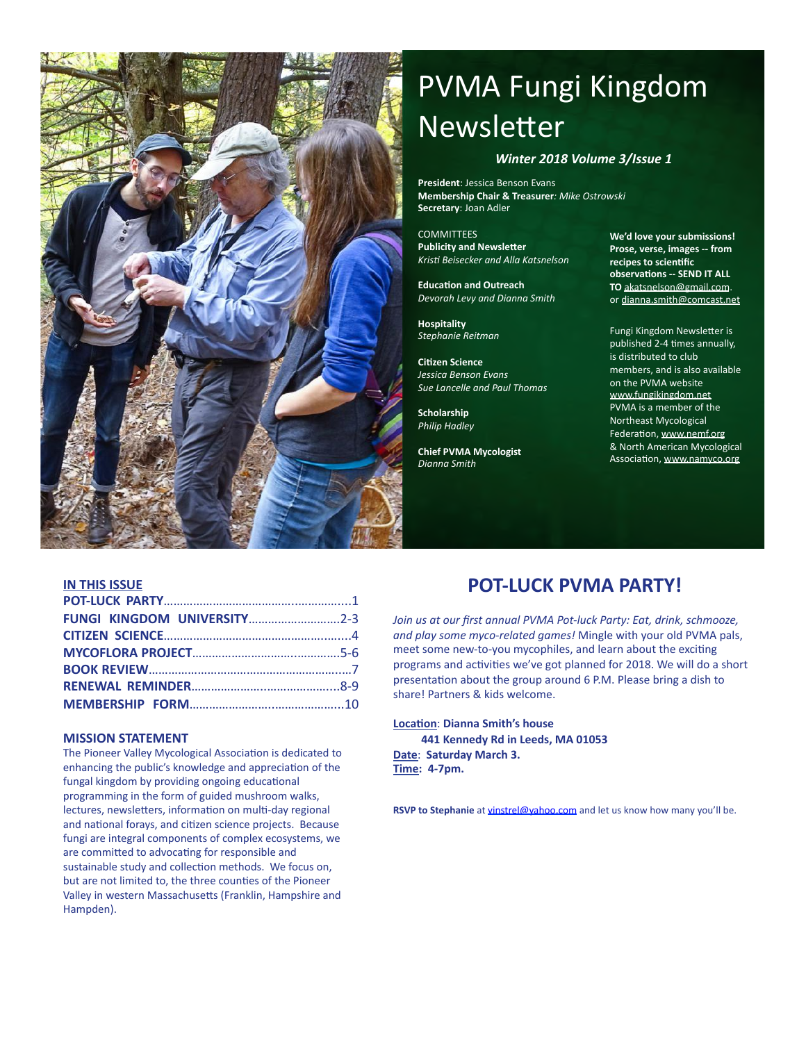

# PVMA Fungi Kingdom Newsletter

#### *Winter 2018 Volume 3/Issue 1*

**President:** Jessica Benson Evans **Membership Chair & Treasurer***: Mike Ostrowski* **Secretary: Joan Adler** 

COMMITTEES **Publicity and Newsletter** *Kristi Beisecker and Alla Katsnelson* 

**Education and Outreach** *Devorah Levy and Dianna Smith* 

**Hospitality**  *Stephanie Reitman*

**Citizen Science** *Jessica Benson Evans*  **Sue Lancelle and Paul Thomas** 

**Scholarship Philip Hadley** 

**Chief PVMA Mycologist** *Dianna Smith*

**We'd love your submissions! Prose, verse, images -- from** recipes to scientific **observations -- SEND IT ALL TO** akatsnelson@gmail.com. or dianna.smith@comcast.net 

Fungi Kingdom Newsletter is published 2-4 times annually, is distributed to club members, and is also available on the PVMA website www.fungikingdom.net PVMA is a member of the Northeast Mycological Federation, www.nemf.org & North American Mycological Association, www.namyco.org

#### **IN THIS ISSUE**

| FUNGI KINGDOM UNIVERSITY2-3 |  |
|-----------------------------|--|
|                             |  |
|                             |  |
|                             |  |
|                             |  |
|                             |  |

#### **MISSION STATEMENT**

The Pioneer Valley Mycological Association is dedicated to enhancing the public's knowledge and appreciation of the fungal kingdom by providing ongoing educational programming in the form of guided mushroom walks, lectures, newsletters, information on multi-day regional and national forays, and citizen science projects. Because fungi are integral components of complex ecosystems, we are committed to advocating for responsible and sustainable study and collection methods. We focus on, but are not limited to, the three counties of the Pioneer Valley in western Massachusetts (Franklin, Hampshire and Hampden). 

# **POT-LUCK PVMA PARTY!**

Join us at our first annual PVMA Pot-luck Party: Eat, drink, schmooze, and play some myco-related games! Mingle with your old PVMA pals, meet some new-to-you mycophiles, and learn about the exciting programs and activities we've got planned for 2018. We will do a short presentation about the group around 6 P.M. Please bring a dish to share! Partners & kids welcome.

**Location: Dianna Smith's house 441 Kennedy Rd in Leeds, MA 01053** Date: Saturday March 3. **Time: 4-7pm.** 

RSVP to Stephanie at vinstrel@yahoo.com and let us know how many you'll be.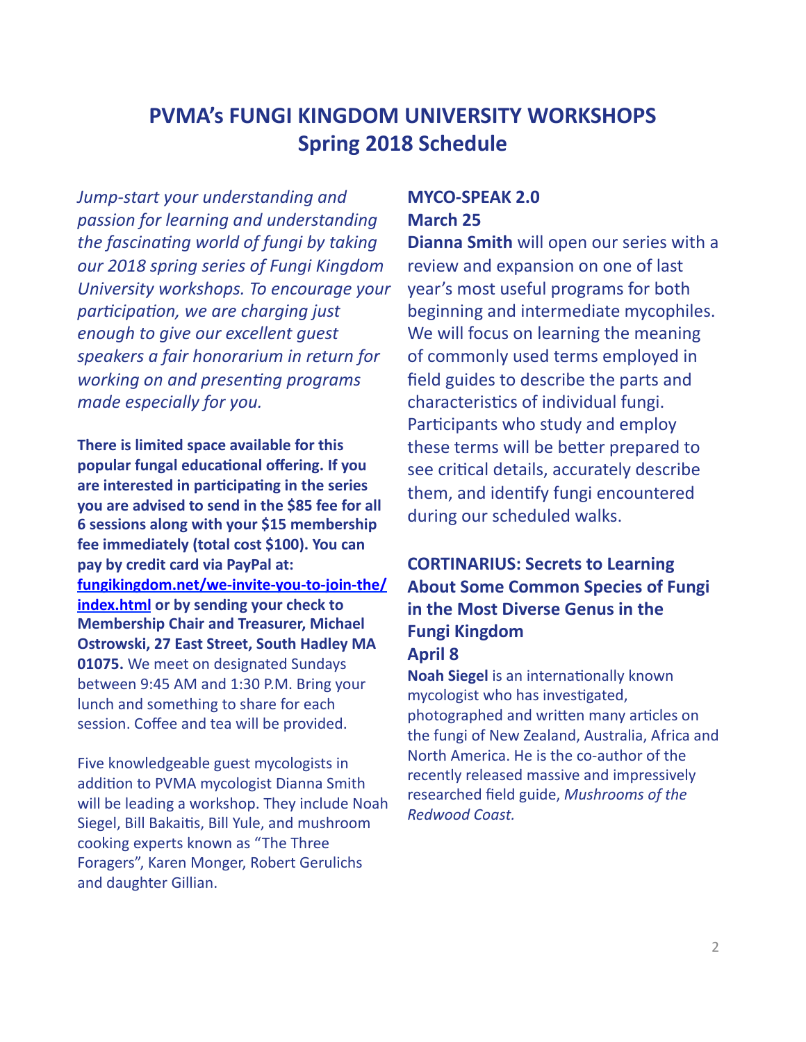# **PVMA's FUNGI KINGDOM UNIVERSITY WORKSHOPS Spring 2018 Schedule**

*Jump-start your understanding and passion for learning and understanding the fascinating world of fungi by taking our 2018 spring series of Fungi Kingdom University workshops. To encourage your participation, we are charging just enough to give our excellent quest* speakers a fair honorarium in return for *working on and presenting programs made especially for you.* 

**There is limited space available for this** popular fungal educational offering. If you are interested in participating in the series **you are advised to send in the \$85 fee for all 6** sessions along with your \$15 membership fee immediately (total cost \$100). You can pay by credit card via PayPal at: **fungikingdom.net/we-invite-you-to-join-the/ index.html** or by sending your check to **Membership Chair and Treasurer, Michael Ostrowski, 27 East Street, South Hadley MA 01075.** We meet on designated Sundays between 9:45 AM and 1:30 P.M. Bring your lunch and something to share for each session. Coffee and tea will be provided.

Five knowledgeable guest mycologists in addition to PVMA mycologist Dianna Smith will be leading a workshop. They include Noah Siegel, Bill Bakaitis, Bill Yule, and mushroom cooking experts known as "The Three Foragers", Karen Monger, Robert Gerulichs and daughter Gillian.

### **MYCO-SPEAK 2.0 March 25**

**Dianna Smith** will open our series with a review and expansion on one of last year's most useful programs for both beginning and intermediate mycophiles. We will focus on learning the meaning of commonly used terms employed in field guides to describe the parts and characteristics of individual fungi. Participants who study and employ these terms will be better prepared to see critical details, accurately describe them, and identify fungi encountered during our scheduled walks.

# **CORTINARIUS: Secrets to Learning About Some Common Species of Fungi in the Most Diverse Genus in the Fungi Kingdom April 8**

**Noah Siegel** is an internationally known mycologist who has investigated, photographed and written many articles on the fungi of New Zealand, Australia, Africa and North America. He is the co-author of the recently released massive and impressively researched field guide, Mushrooms of the *Redwood Coast.*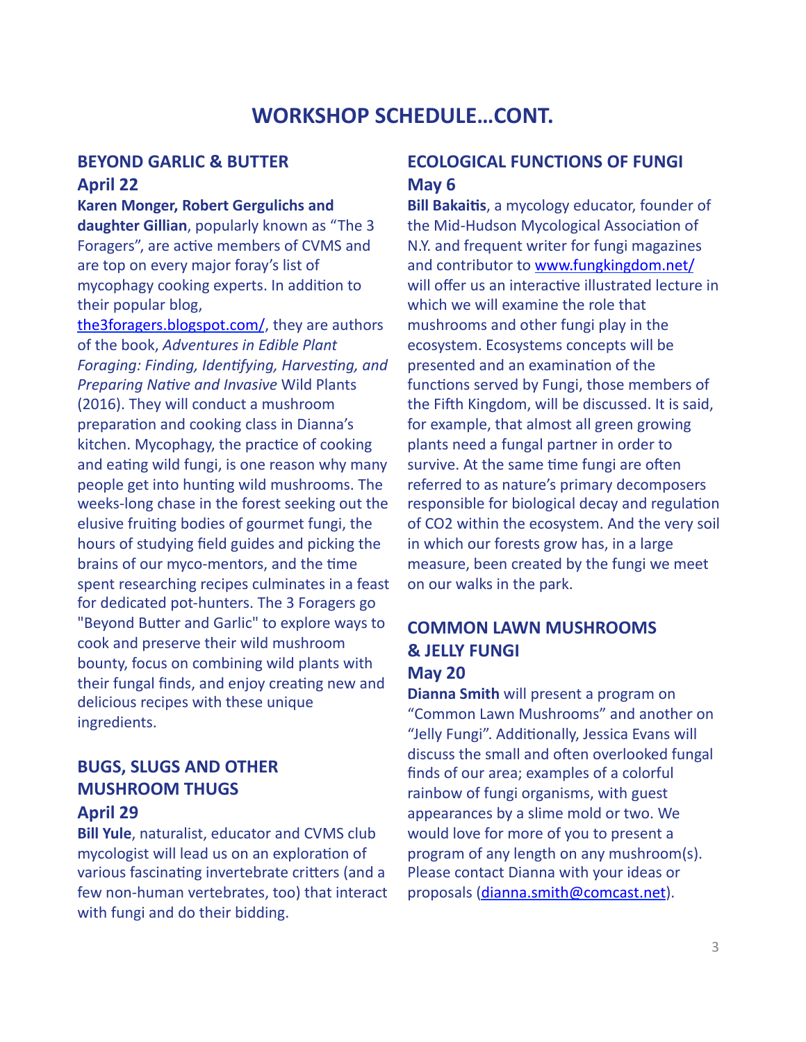# WORKSHOP SCHEDULE...CONT.

### **BEYOND GARLIC & BUTTER April 22**

#### **Karen Monger, Robert Gergulichs and**

**daughter Gillian**, popularly known as "The 3 Foragers", are active members of CVMS and are top on every major foray's list of mycophagy cooking experts. In addition to their popular blog,

the3foragers.blogspot.com/, they are authors of the book, *Adventures in Edible Plant Foraging: Finding, Identifying, Harvesting, and Preparing Native and Invasive Wild Plants* (2016). They will conduct a mushroom preparation and cooking class in Dianna's kitchen. Mycophagy, the practice of cooking and eating wild fungi, is one reason why many people get into hunting wild mushrooms. The weeks-long chase in the forest seeking out the elusive fruiting bodies of gourmet fungi, the hours of studying field guides and picking the brains of our myco-mentors, and the time spent researching recipes culminates in a feast for dedicated pot-hunters. The 3 Foragers go "Beyond Butter and Garlic" to explore ways to cook and preserve their wild mushroom bounty, focus on combining wild plants with their fungal finds, and enjoy creating new and delicious recipes with these unique ingredients. 

## **BUGS, SLUGS AND OTHER MUSHROOM THUGS April 29**

**Bill Yule**, naturalist, educator and CVMS club mycologist will lead us on an exploration of various fascinating invertebrate critters (and a few non-human vertebrates, too) that interact with fungi and do their bidding.

## **ECOLOGICAL FUNCTIONS OF FUNGI May 6**

**Bill Bakaitis**, a mycology educator, founder of the Mid-Hudson Mycological Association of N.Y. and frequent writer for fungi magazines and contributor to www.fungkingdom.net/ will offer us an interactive illustrated lecture in which we will examine the role that mushrooms and other fungi play in the ecosystem. Ecosystems concepts will be presented and an examination of the functions served by Fungi, those members of the Fifth Kingdom, will be discussed. It is said, for example, that almost all green growing plants need a fungal partner in order to survive. At the same time fungi are often referred to as nature's primary decomposers responsible for biological decay and regulation of CO2 within the ecosystem. And the very soil in which our forests grow has, in a large measure, been created by the fungi we meet on our walks in the park.

## **COMMON LAWN MUSHROOMS & JELLY FUNGI May 20**

**Dianna Smith** will present a program on "Common Lawn Mushrooms" and another on "Jelly Fungi". Additionally, Jessica Evans will discuss the small and often overlooked fungal finds of our area; examples of a colorful rainbow of fungi organisms, with guest appearances by a slime mold or two. We would love for more of you to present a program of any length on any mushroom(s). Please contact Dianna with your ideas or proposals (dianna.smith@comcast.net).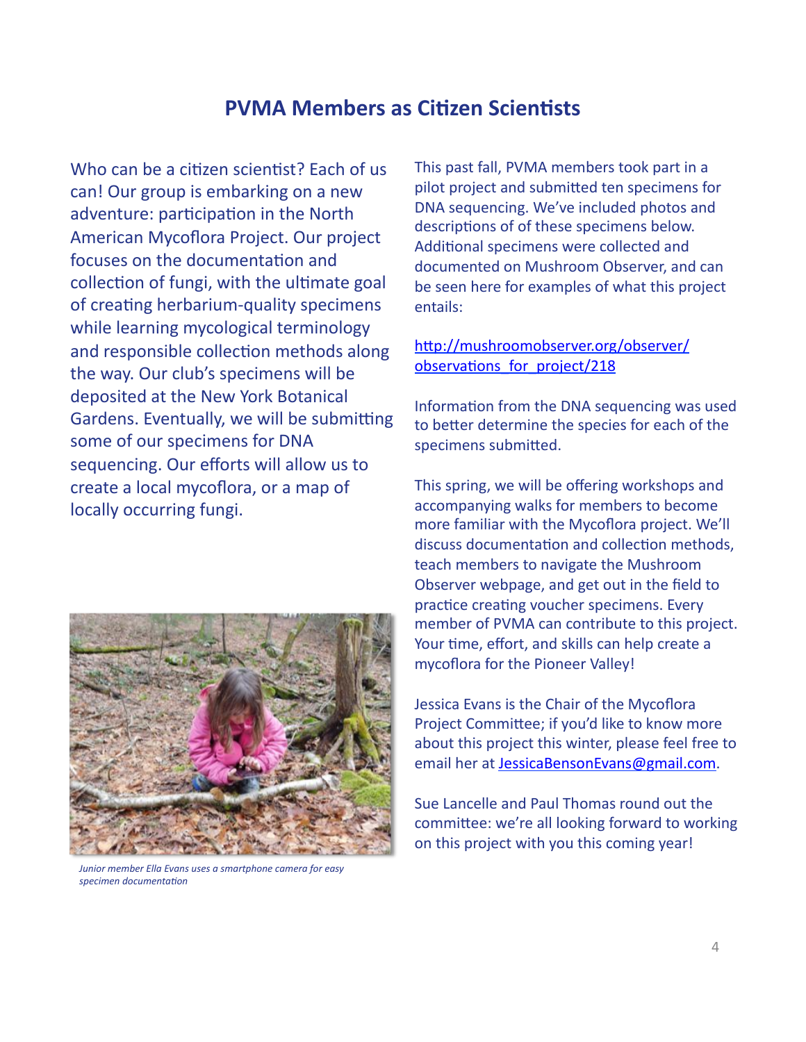# **PVMA Members as Citizen Scientists**

Who can be a citizen scientist? Each of us can! Our group is embarking on a new adventure: participation in the North American Mycoflora Project. Our project focuses on the documentation and collection of fungi, with the ultimate goal of creating herbarium-quality specimens while learning mycological terminology and responsible collection methods along the way. Our club's specimens will be deposited at the New York Botanical Gardens. Eventually, we will be submitting some of our specimens for DNA sequencing. Our efforts will allow us to create a local mycoflora, or a map of locally occurring fungi.



*Junior* member Ella Evans uses a smartphone camera for easy specimen documentation

This past fall, PVMA members took part in a pilot project and submitted ten specimens for DNA sequencing. We've included photos and descriptions of of these specimens below. Additional specimens were collected and documented on Mushroom Observer, and can be seen here for examples of what this project entails: 

### http://mushroomobserver.org/observer/ observations for project/218

Information from the DNA sequencing was used to better determine the species for each of the specimens submitted.

This spring, we will be offering workshops and accompanying walks for members to become more familiar with the Mycoflora project. We'll discuss documentation and collection methods. teach members to navigate the Mushroom Observer webpage, and get out in the field to practice creating voucher specimens. Every member of PVMA can contribute to this project. Your time, effort, and skills can help create a mycoflora for the Pioneer Valley!

Jessica Evans is the Chair of the Mycoflora Project Committee; if you'd like to know more about this project this winter, please feel free to email her at **JessicaBensonEvans@gmail.com.** 

Sue Lancelle and Paul Thomas round out the committee: we're all looking forward to working on this project with you this coming year!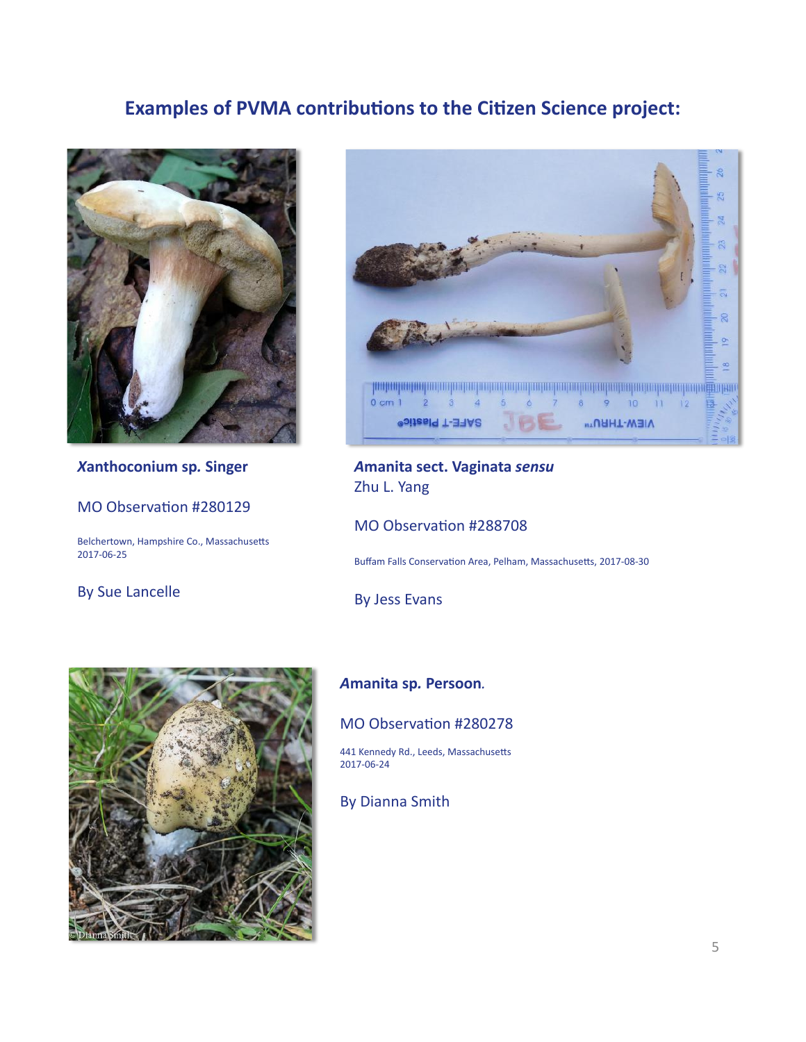# **Examples of PVMA contributions to the Citizen Science project:**



### *X***anthoconium sp***.* **Singer**

#### MO Observation #280129

Belchertown, Hampshire Co., Massachusetts 2017-06-25 

#### By Sue Lancelle



### *A***manita sect. Vaginata** *sensu*  Zhu L. Yang

#### MO Observation #288708

Buffam Falls Conservation Area, Pelham, Massachusetts, 2017-08-30

By Jess Evans 



#### *A***manita sp***.* **Persoon***.*

#### MO Observation #280278

441 Kennedy Rd., Leeds, Massachusetts 2017-06-24 

### By Dianna Smith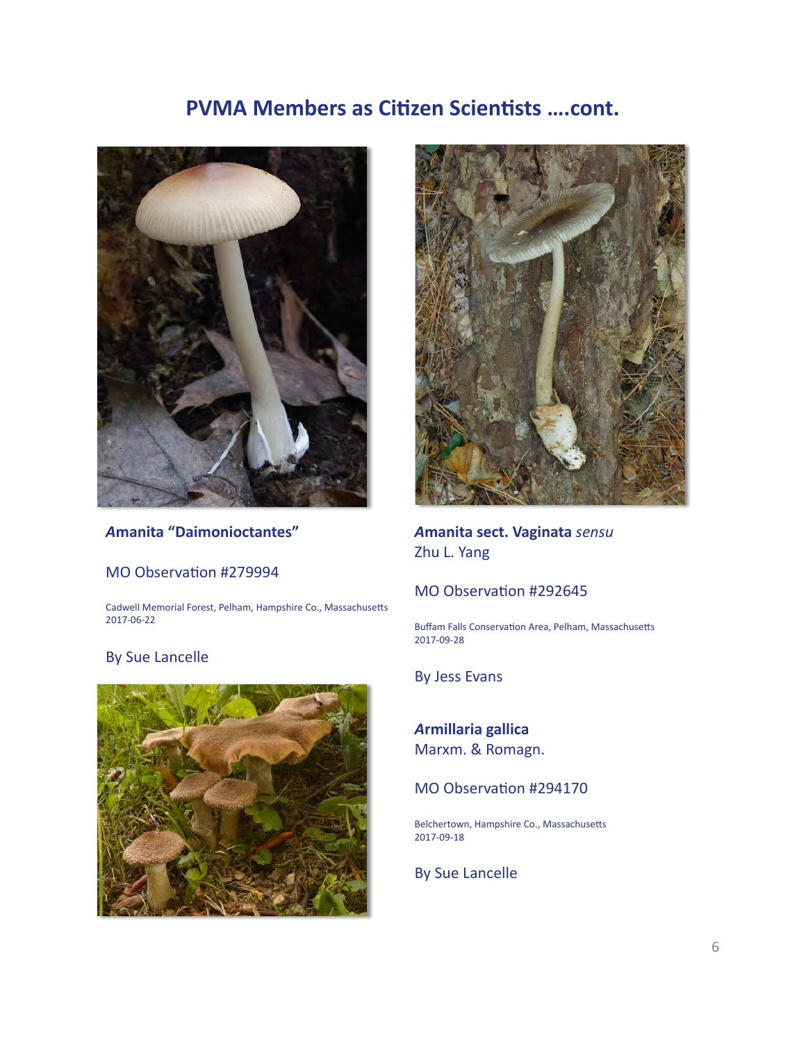# **PVMA Members as Citizen Scientists ....cont.**



### *A***manita "Daimonioctantes"**

MO Observation #279994

Cadwell Memorial Forest, Pelham, Hampshire Co., Massachusetts 2017-06-22 

#### **By Sue Lancelle**





*A***manita sect. Vaginata** *sensu*  Zhu L. Yang

### MO Observation #292645

Buffam Falls Conservation Area, Pelham, Massachusetts 2017-09-28 

#### **By Jess Evans**

*A***rmillaria gallica**  Marxm. & Romagn.

#### MO Observation #294170

Belchertown, Hampshire Co., Massachusetts 2017-09-18 

#### **By Sue Lancelle**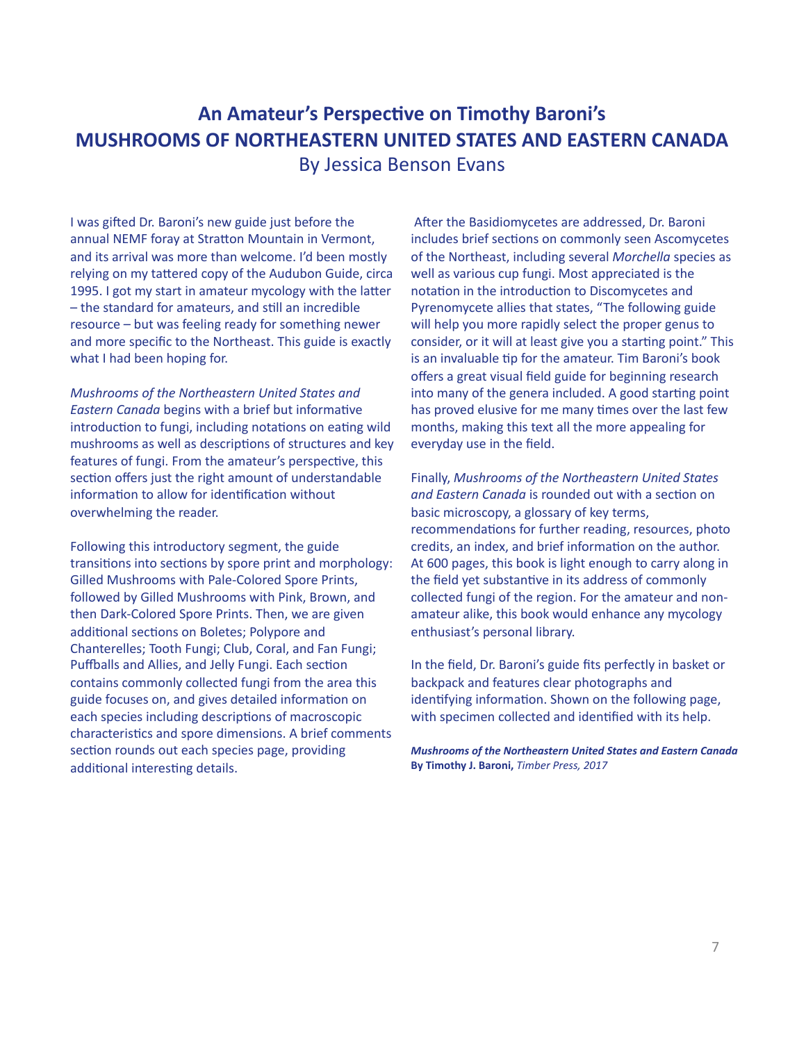# An Amateur's Perspective on Timothy Baroni's **MUSHROOMS OF NORTHEASTERN UNITED STATES AND EASTERN CANADA** By Jessica Benson Evans

I was gifted Dr. Baroni's new guide just before the annual NEMF foray at Stratton Mountain in Vermont, and its arrival was more than welcome. I'd been mostly relying on my tattered copy of the Audubon Guide, circa 1995. I got my start in amateur mycology with the latter  $-$  the standard for amateurs, and still an incredible  $resource - but was feeling ready for something newer$ and more specific to the Northeast. This guide is exactly what I had been hoping for.

**Mushrooms of the Northeastern United States and** *Eastern Canada* begins with a brief but informative introduction to fungi, including notations on eating wild mushrooms as well as descriptions of structures and key features of fungi. From the amateur's perspective, this section offers just the right amount of understandable information to allow for identification without overwhelming the reader.

Following this introductory segment, the guide transitions into sections by spore print and morphology: Gilled Mushrooms with Pale-Colored Spore Prints, followed by Gilled Mushrooms with Pink, Brown, and then Dark-Colored Spore Prints. Then, we are given additional sections on Boletes; Polypore and Chanterelles; Tooth Fungi; Club, Coral, and Fan Fungi; Puffballs and Allies, and Jelly Fungi. Each section contains commonly collected fungi from the area this guide focuses on, and gives detailed information on each species including descriptions of macroscopic characteristics and spore dimensions. A brief comments section rounds out each species page, providing additional interesting details.

After the Basidiomycetes are addressed, Dr. Baroni includes brief sections on commonly seen Ascomycetes of the Northeast, including several *Morchella* species as well as various cup fungi. Most appreciated is the notation in the introduction to Discomycetes and Pyrenomycete allies that states, "The following guide will help you more rapidly select the proper genus to consider, or it will at least give you a starting point." This is an invaluable tip for the amateur. Tim Baroni's book offers a great visual field guide for beginning research into many of the genera included. A good starting point has proved elusive for me many times over the last few months, making this text all the more appealing for everyday use in the field.

Finally, *Mushrooms of the Northeastern United States and Eastern Canada* is rounded out with a section on basic microscopy, a glossary of key terms, recommendations for further reading, resources, photo credits, an index, and brief information on the author. At 600 pages, this book is light enough to carry along in the field yet substantive in its address of commonly collected fungi of the region. For the amateur and nonamateur alike, this book would enhance any mycology enthusiast's personal library.

In the field, Dr. Baroni's guide fits perfectly in basket or backpack and features clear photographs and identifying information. Shown on the following page, with specimen collected and identified with its help.

*Mushrooms of the Northeastern United States and Eastern Canada* By Timothy J. Baroni, *Timber Press, 2017*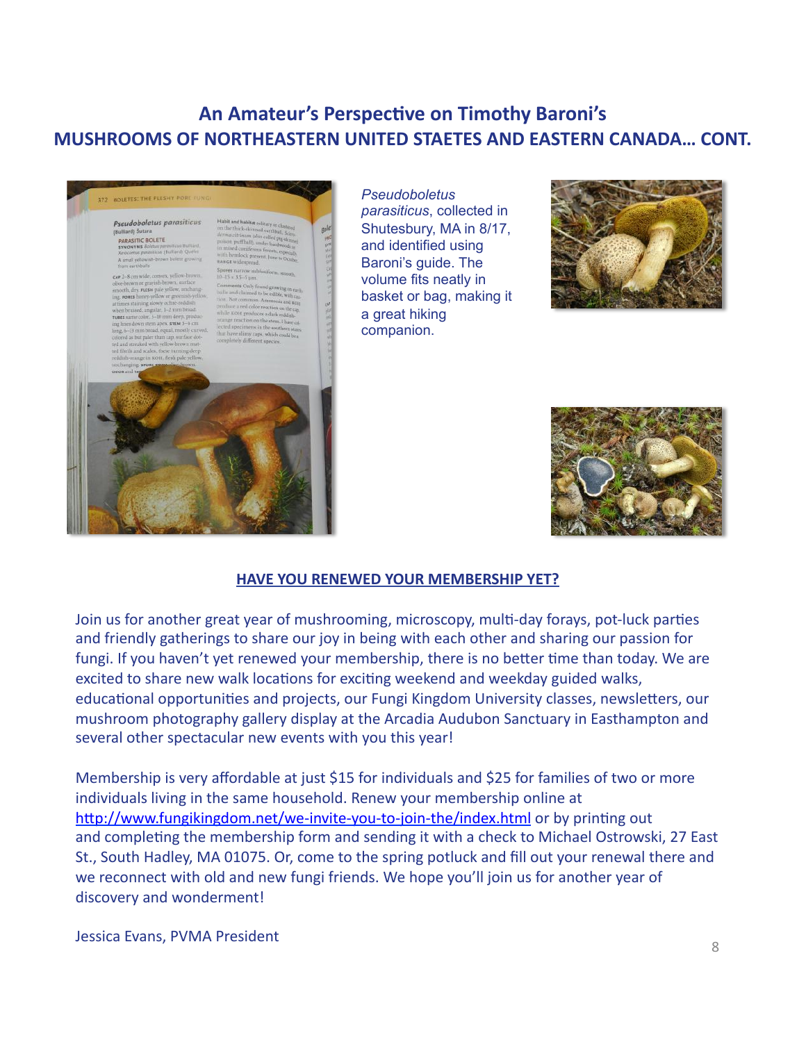# An Amateur's Perspective on Timothy Baroni's **MUSHROOMS OF NORTHEASTERN UNITED STAETES AND EASTERN CANADA... CONT.**



*Pseudoboletus parasiticus*, collected in Shutesbury, MA in 8/17, and identified using Baroni's guide. The volume fits neatly in basket or bag, making it a great hiking companion.





#### **HAVE YOU RENEWED YOUR MEMBERSHIP YET?**

Join us for another great year of mushrooming, microscopy, multi-day forays, pot-luck parties and friendly gatherings to share our joy in being with each other and sharing our passion for fungi. If you haven't yet renewed your membership, there is no better time than today. We are excited to share new walk locations for exciting weekend and weekday guided walks, educational opportunities and projects, our Fungi Kingdom University classes, newsletters, our mushroom photography gallery display at the Arcadia Audubon Sanctuary in Easthampton and several other spectacular new events with you this year!

Membership is very affordable at just \$15 for individuals and \$25 for families of two or more individuals living in the same household. Renew your membership online at http://www.fungikingdom.net/we-invite-you-to-join-the/index.html or by printing out and completing the membership form and sending it with a check to Michael Ostrowski, 27 East St., South Hadley, MA 01075. Or, come to the spring potluck and fill out your renewal there and we reconnect with old and new fungi friends. We hope you'll join us for another year of discovery and wonderment!

**Jessica Evans, PVMA President** 8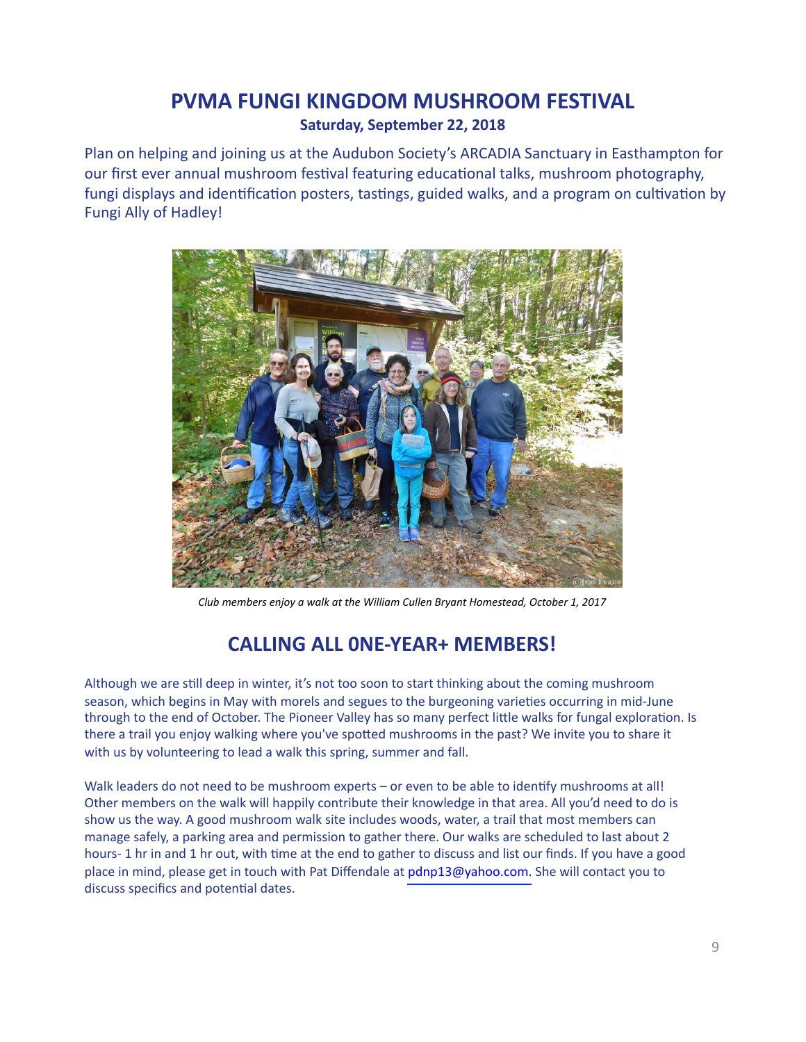# **PVMA FUNGI KINGDOM MUSHROOM FESTIVAL** Saturday, September 22, 2018

Plan on helping and joining us at the Audubon Society's ARCADIA Sanctuary in Easthampton for our first ever annual mushroom festival featuring educational talks, mushroom photography, fungi displays and identification posters, tastings, guided walks, and a program on cultivation by Fungi Ally of Hadley!



*Club* members enjoy a walk at the William Cullen Bryant Homestead, October 1, 2017

# **CALLING ALL ONE-YEAR+ MEMBERS!**

Although we are still deep in winter, it's not too soon to start thinking about the coming mushroom season, which begins in May with morels and segues to the burgeoning varieties occurring in mid-June through to the end of October. The Pioneer Valley has so many perfect little walks for fungal exploration. Is there a trail you enjoy walking where you've spotted mushrooms in the past? We invite you to share it with us by volunteering to lead a walk this spring, summer and fall.

Walk leaders do not need to be mushroom experts – or even to be able to identify mushrooms at all! Other members on the walk will happily contribute their knowledge in that area. All you'd need to do is show us the way. A good mushroom walk site includes woods, water, a trail that most members can manage safely, a parking area and permission to gather there. Our walks are scheduled to last about 2 hours- 1 hr in and 1 hr out, with time at the end to gather to discuss and list our finds. If you have a good place in mind, please get in touch with Pat Diffendale at pdnp13@yahoo.com. She will contact you to discuss specifics and potential dates.